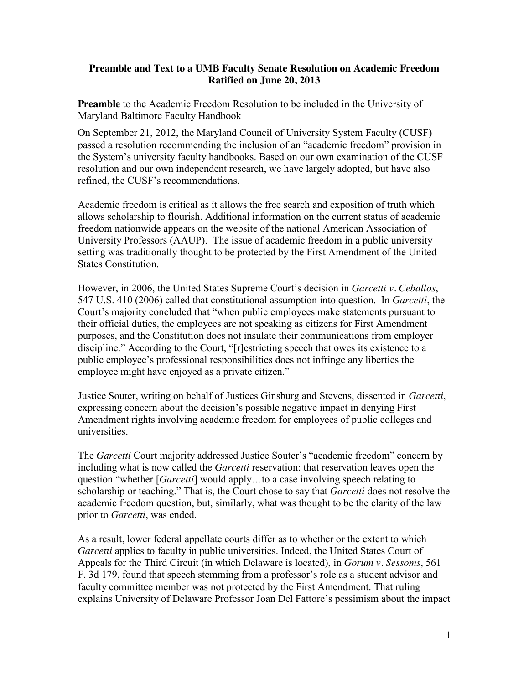## **Preamble and Text to a UMB Faculty Senate Resolution on Academic Freedom Ratified on June 20, 2013**

**Preamble** to the Academic Freedom Resolution to be included in the University of Maryland Baltimore Faculty Handbook

On September 21, 2012, the Maryland Council of University System Faculty (CUSF) passed a resolution recommending the inclusion of an "academic freedom" provision in the System's university faculty handbooks. Based on our own examination of the CUSF resolution and our own independent research, we have largely adopted, but have also refined, the CUSF's recommendations.

Academic freedom is critical as it allows the free search and exposition of truth which allows scholarship to flourish. Additional information on the current status of academic freedom nationwide appears on the website of the national American Association of University Professors (AAUP). The issue of academic freedom in a public university setting was traditionally thought to be protected by the First Amendment of the United States Constitution.

However, in 2006, the United States Supreme Court's decision in *Garcetti v. Ceballos*, 547 U.S. 410 (2006) called that constitutional assumption into question. In *Garcetti*, the Court's majority concluded that "when public employees make statements pursuant to their official duties, the employees are not speaking as citizens for First Amendment purposes, and the Constitution does not insulate their communications from employer discipline." According to the Court, "[r]estricting speech that owes its existence to a public employee's professional responsibilities does not infringe any liberties the employee might have enjoyed as a private citizen."

Justice Souter, writing on behalf of Justices Ginsburg and Stevens, dissented in *Garcetti*, expressing concern about the decision's possible negative impact in denying First Amendment rights involving academic freedom for employees of public colleges and universities.

The *Garcetti* Court majority addressed Justice Souter's "academic freedom" concern by including what is now called the *Garcetti* reservation: that reservation leaves open the question "whether [*Garcetti*] would apply…to a case involving speech relating to scholarship or teaching." That is, the Court chose to say that *Garcetti* does not resolve the academic freedom question, but, similarly, what was thought to be the clarity of the law prior to *Garcetti*, was ended.

As a result, lower federal appellate courts differ as to whether or the extent to which *Garcetti* applies to faculty in public universities. Indeed, the United States Court of Appeals for the Third Circuit (in which Delaware is located), in *Gorum v. Sessoms*, 561 F. 3d 179, found that speech stemming from a professor's role as a student advisor and faculty committee member was not protected by the First Amendment. That ruling explains University of Delaware Professor Joan Del Fattore's pessimism about the impact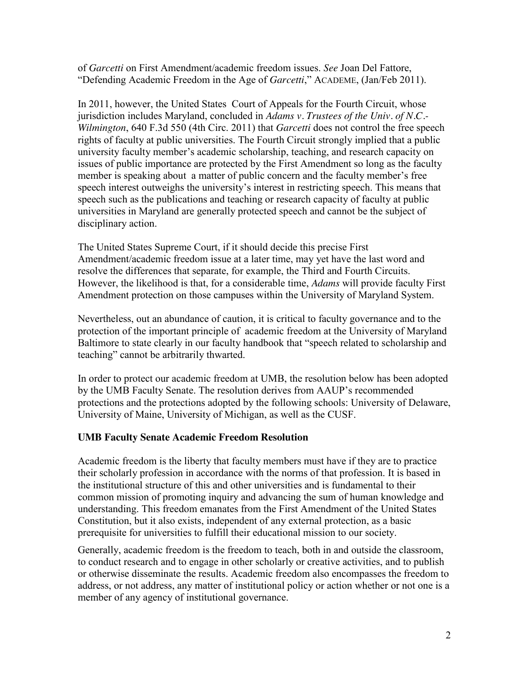of *Garcetti* on First Amendment/academic freedom issues. *See* Joan Del Fattore, "Defending Academic Freedom in the Age of *Garcetti*," ACADEME, (Jan/Feb 2011).

In 2011, however, the United States Court of Appeals for the Fourth Circuit, whose jurisdiction includes Maryland, concluded in *Adams v. Trustees of the Univ. of N.C.- Wilmington*, 640 F.3d 550 (4th Circ. 2011) that *Garcetti* does not control the free speech rights of faculty at public universities. The Fourth Circuit strongly implied that a public university faculty member's academic scholarship, teaching, and research capacity on issues of public importance are protected by the First Amendment so long as the faculty member is speaking about a matter of public concern and the faculty member's free speech interest outweighs the university's interest in restricting speech. This means that speech such as the publications and teaching or research capacity of faculty at public universities in Maryland are generally protected speech and cannot be the subject of disciplinary action.

The United States Supreme Court, if it should decide this precise First Amendment/academic freedom issue at a later time, may yet have the last word and resolve the differences that separate, for example, the Third and Fourth Circuits. However, the likelihood is that, for a considerable time, *Adams* will provide faculty First Amendment protection on those campuses within the University of Maryland System.

Nevertheless, out an abundance of caution, it is critical to faculty governance and to the protection of the important principle of academic freedom at the University of Maryland Baltimore to state clearly in our faculty handbook that "speech related to scholarship and teaching" cannot be arbitrarily thwarted.

In order to protect our academic freedom at UMB, the resolution below has been adopted by the UMB Faculty Senate. The resolution derives from AAUP's recommended protections and the protections adopted by the following schools: University of Delaware, University of Maine, University of Michigan, as well as the CUSF.

## **UMB Faculty Senate Academic Freedom Resolution**

Academic freedom is the liberty that faculty members must have if they are to practice their scholarly profession in accordance with the norms of that profession. It is based in the institutional structure of this and other universities and is fundamental to their common mission of promoting inquiry and advancing the sum of human knowledge and understanding. This freedom emanates from the First Amendment of the United States Constitution, but it also exists, independent of any external protection, as a basic prerequisite for universities to fulfill their educational mission to our society.

Generally, academic freedom is the freedom to teach, both in and outside the classroom, to conduct research and to engage in other scholarly or creative activities, and to publish or otherwise disseminate the results. Academic freedom also encompasses the freedom to address, or not address, any matter of institutional policy or action whether or not one is a member of any agency of institutional governance.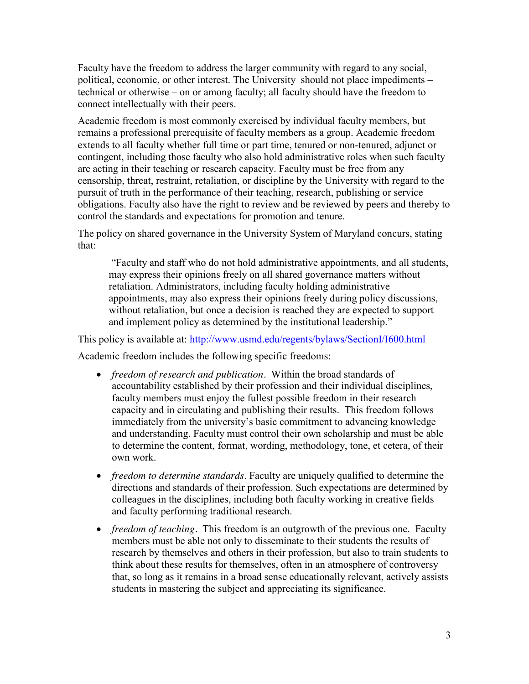Faculty have the freedom to address the larger community with regard to any social, political, economic, or other interest. The University should not place impediments – technical or otherwise – on or among faculty; all faculty should have the freedom to connect intellectually with their peers.

Academic freedom is most commonly exercised by individual faculty members, but remains a professional prerequisite of faculty members as a group. Academic freedom extends to all faculty whether full time or part time, tenured or non-tenured, adjunct or contingent, including those faculty who also hold administrative roles when such faculty are acting in their teaching or research capacity. Faculty must be free from any censorship, threat, restraint, retaliation, or discipline by the University with regard to the pursuit of truth in the performance of their teaching, research, publishing or service obligations. Faculty also have the right to review and be reviewed by peers and thereby to control the standards and expectations for promotion and tenure.

The policy on shared governance in the University System of Maryland concurs, stating that:

"Faculty and staff who do not hold administrative appointments, and all students, may express their opinions freely on all shared governance matters without retaliation. Administrators, including faculty holding administrative appointments, may also express their opinions freely during policy discussions, without retaliation, but once a decision is reached they are expected to support and implement policy as determined by the institutional leadership."

This policy is available at:<http://www.usmd.edu/regents/bylaws/SectionI/I600.html> Academic freedom includes the following specific freedoms:

- *freedom of research and publication*. Within the broad standards of accountability established by their profession and their individual disciplines, faculty members must enjoy the fullest possible freedom in their research capacity and in circulating and publishing their results. This freedom follows immediately from the university's basic commitment to advancing knowledge and understanding. Faculty must control their own scholarship and must be able to determine the content, format, wording, methodology, tone, et cetera, of their own work.
- *freedom to determine standards*. Faculty are uniquely qualified to determine the directions and standards of their profession. Such expectations are determined by colleagues in the disciplines, including both faculty working in creative fields and faculty performing traditional research.
- *freedom of teaching.* This freedom is an outgrowth of the previous one. Faculty members must be able not only to disseminate to their students the results of research by themselves and others in their profession, but also to train students to think about these results for themselves, often in an atmosphere of controversy that, so long as it remains in a broad sense educationally relevant, actively assists students in mastering the subject and appreciating its significance.